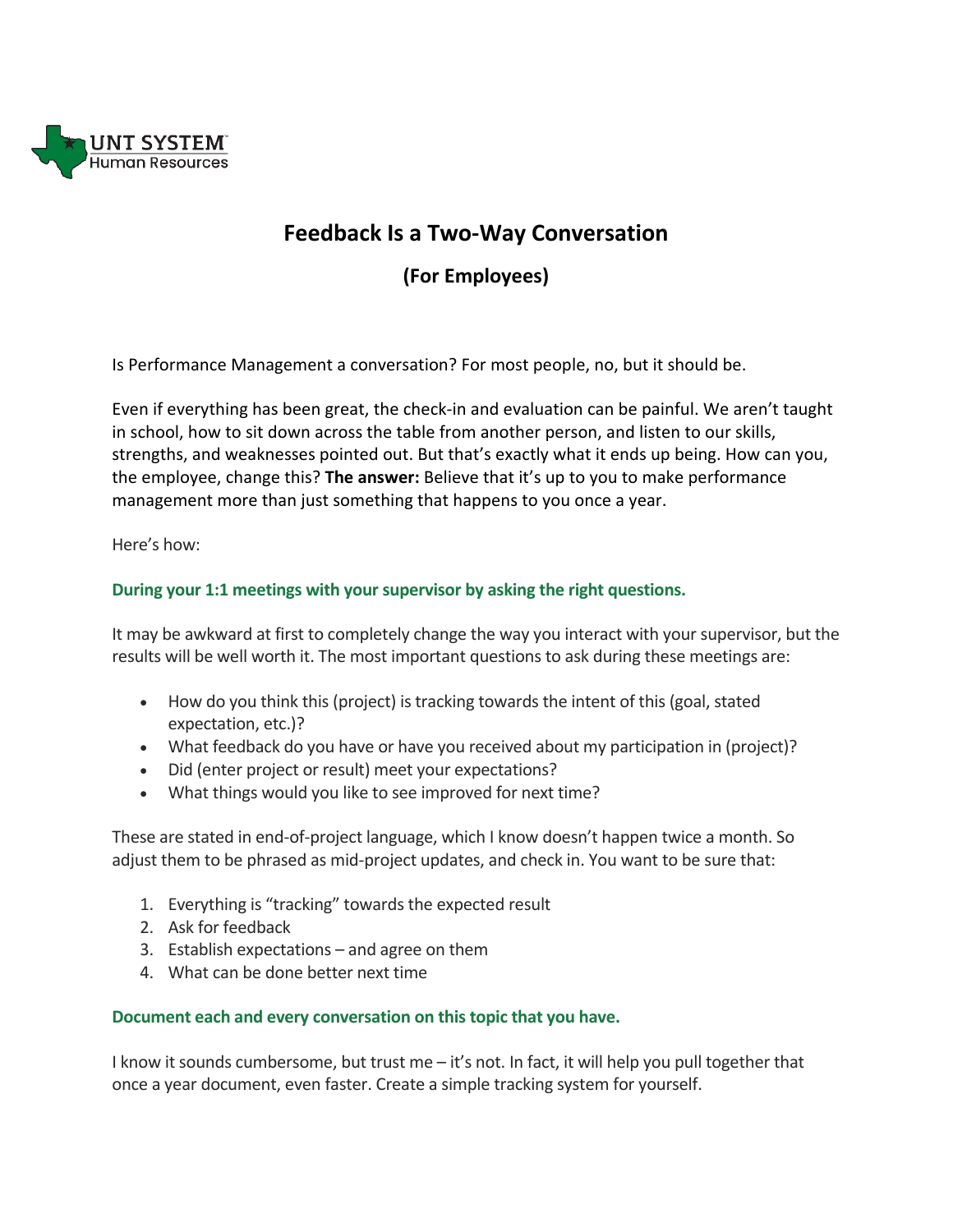

# **Feedback Is a Two-Way Conversation**

**(For Employees)**

Is Performance Management a conversation? For most people, no, but it should be.

Even if everything has been great, the check-in and evaluation can be painful. We aren't taught in school, how to sit down across the table from another person, and listen to our skills, strengths, and weaknesses pointed out. But that's exactly what it ends up being. How can you, the employee, change this? **The answer:** Believe that it's up to you to make performance management more than just something that happens to you once a year.

Here's how:

## **During your 1:1 meetings with your supervisor by asking the right questions.**

It may be awkward at first to completely change the way you interact with your supervisor, but the results will be well worth it. The most important questions to ask during these meetings are:

- How do you think this (project) is tracking towards the intent of this (goal, stated expectation, etc.)?
- What feedback do you have or have you received about my participation in (project)?
- Did (enter project or result) meet your expectations?
- What things would you like to see improved for next time?

These are stated in end-of-project language, which I know doesn't happen twice a month. So adjust them to be phrased as mid-project updates, and check in. You want to be sure that:

- 1. Everything is "tracking" towards the expected result
- 2. Ask for feedback
- 3. Establish expectations and agree on them
- 4. What can be done better next time

### **Document each and every conversation on this topic that you have.**

I know it sounds cumbersome, but trust me – it's not. In fact, it will help you pull together that once a year document, even faster. Create a simple tracking system for yourself.